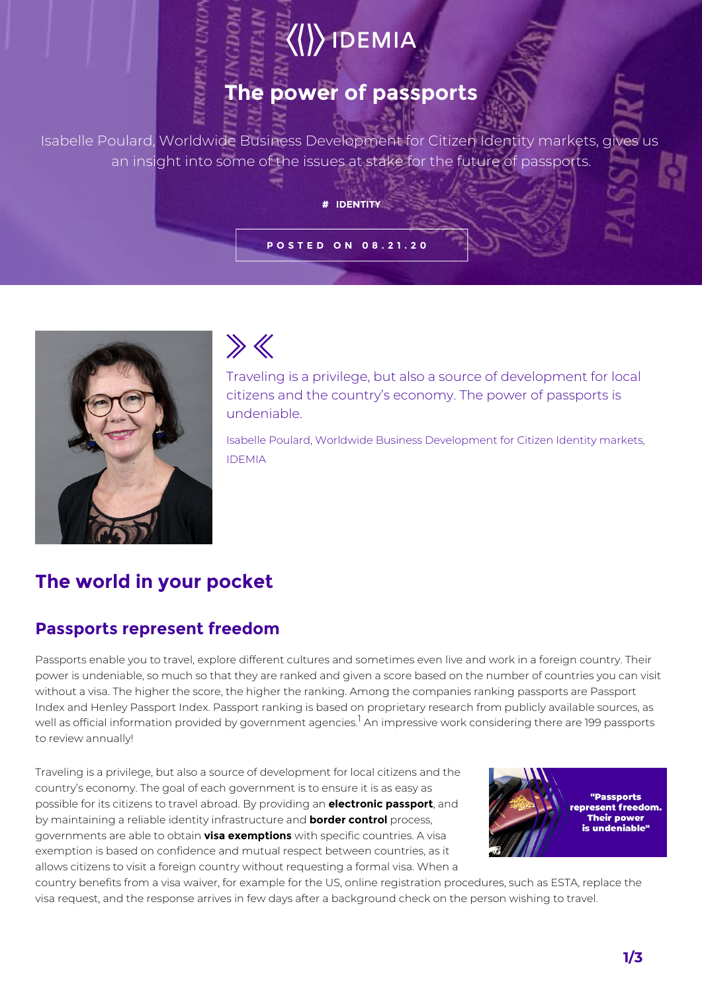# $\langle \rangle$  IDEMIA

**The power of passports**

Isabelle Poulard, Worldwide Business Development for Citizen Identity markets, gives us an insight into some of the issues at stake for the future of passports.

**# IDENTITY**

**POSTED ON 08.21.20**



 $\gg K$ 

Traveling is a privilege, but also a source of development for local citizens and the country's economy. The power of passports is undeniable.

Isabelle Poulard, Worldwide Business Development for Citizen Identity markets, IDEMIA

# **The world in your pocket**

## **Passports represent freedom**

Passports enable you to travel, explore different cultures and sometimes even live and work in a foreign country. Their power is undeniable, so much so that they are ranked and given a score based on the number of countries you can visit without a visa. The higher the score, the higher the ranking. Among the companies ranking passports are Passport Index and Henley Passport Index. Passport ranking is based on proprietary research from publicly available sources, as well as official information provided by government agencies.<sup>1</sup> An impressive work considering there are 199 passports to review annually!

Traveling is a privilege, but also a source of development for local citizens and the country's economy. The goal of each government is to ensure it is as easy as possible for its citizens to travel abroad. By providing an **electronic passport**, and by maintaining a reliable identity infrastructure and **border control** process, governments are able to obtain **visa exemptions** with specific countries. A visa exemption is based on confidence and mutual respect between countries, as it allows citizens to visit a foreign country without requesting a formal visa. When a



country benefits from a visa waiver, for example for the US, online registration procedures, such as ESTA, replace the visa request, and the response arrives in few days after a background check on the person wishing to travel.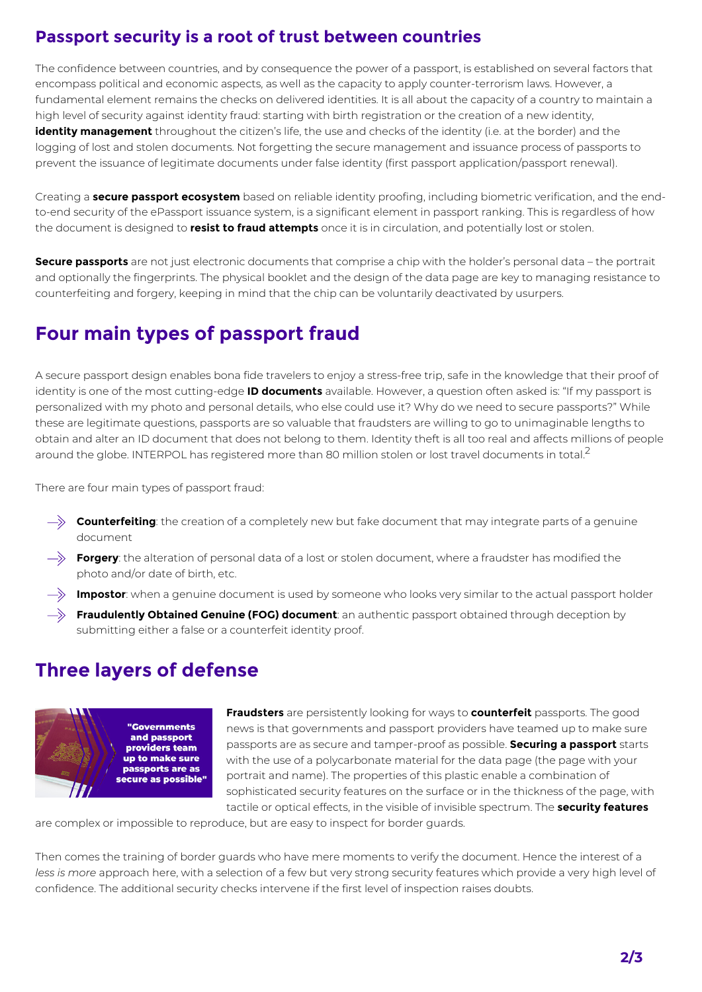## **Passport security is a root of trust between countries**

The confidence between countries, and by consequence the power of a passport, is established on several factors that encompass political and economic aspects, as well as the capacity to apply counter-terrorism laws. However, a fundamental element remains the checks on delivered identities. It is all about the capacity of a country to maintain a high level of security against identity fraud: starting with birth registration or the creation of a new identity, **identity management** throughout the citizen's life, the use and checks of the identity (i.e. at the border) and the logging of lost and stolen documents. Not forgetting the secure management and issuance process of passports to prevent the issuance of legitimate documents under false identity (first passport application/passport renewal).

Creating a **secure passport ecosystem** based on reliable identity proofing, including biometric verification, and the endto-end security of the ePassport issuance system, is a significant element in passport ranking. This is regardless of how the document is designed to **resist to fraud attempts** once it is in circulation, and potentially lost or stolen.

**Secure passports** are not just electronic documents that comprise a chip with the holder's personal data – the portrait and optionally the fingerprints. The physical booklet and the design of the data page are key to managing resistance to counterfeiting and forgery, keeping in mind that the chip can be voluntarily deactivated by usurpers.

# **Four main types of passport fraud**

A secure passport design enables bona fide travelers to enjoy a stress-free trip, safe in the knowledge that their proof of identity is one of the most cutting-edge **ID documents** available. However, a question often asked is: "If my passport is personalized with my photo and personal details, who else could use it? Why do we need to secure passports?" While these are legitimate questions, passports are so valuable that fraudsters are willing to go to unimaginable lengths to obtain and alter an ID document that does not belong to them. Identity theft is all too real and affects millions of people around the globe. INTERPOL has registered more than 80 million stolen or lost travel documents in total.<sup>2</sup>

There are four main types of passport fraud:

- $\rightarrow$  **Counterfeiting**: the creation of a completely new but fake document that may integrate parts of a genuine document
- $\rightarrow$  **Forgery**: the alteration of personal data of a lost or stolen document, where a fraudster has modified the photo and/or date of birth, etc.
- **Impostor**: when a genuine document is used by someone who looks very similar to the actual passport holder
- $\rightarrow$  **Fraudulently Obtained Genuine (FOG) document**: an authentic passport obtained through deception by submitting either a false or a counterfeit identity proof.

## **Three layers of defense**



**Fraudsters** are persistently looking for ways to **counterfeit** passports. The good news is that governments and passport providers have teamed up to make sure passports are as secure and tamper-proof as possible. **Securing a passport** starts with the use of a polycarbonate material for the data page (the page with your portrait and name). The properties of this plastic enable a combination of sophisticated security features on the surface or in the thickness of the page, with tactile or optical effects, in the visible of invisible spectrum. The **security features**

are complex or impossible to reproduce, but are easy to inspect for border guards.

Then comes the training of border guards who have mere moments to verify the document. Hence the interest of a *less is more* approach here, with a selection of a few but very strong security features which provide a very high level of confidence. The additional security checks intervene if the first level of inspection raises doubts.